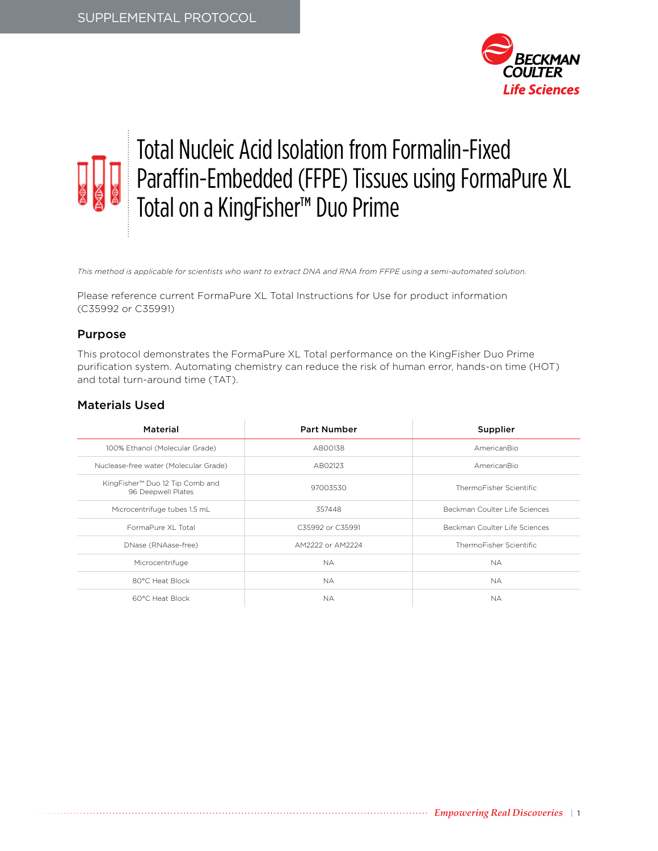

# Total Nucleic Acid Isolation from Formalin-Fixed Paraffin-Embedded (FFPE) Tissues using FormaPure XL Total on a KingFisher™ Duo Prime

*This method is applicable for scientists who want to extract DNA and RNA from FFPE using a semi-automated solution.*

Please reference current FormaPure XL Total Instructions for Use for product information (C35992 or C35991)

#### Purpose

This protocol demonstrates the FormaPure XL Total performance on the KingFisher Duo Prime purification system. Automating chemistry can reduce the risk of human error, hands-on time (HOT) and total turn-around time (TAT).

#### Materials Used

| Material                                              | <b>Part Number</b> | Supplier                      |
|-------------------------------------------------------|--------------------|-------------------------------|
| 100% Ethanol (Molecular Grade)                        | AB00138            | AmericanBio                   |
| Nuclease-free water (Molecular Grade)                 | AB02123            | AmericanBio                   |
| KingFisher™ Duo 12 Tip Comb and<br>96 Deepwell Plates | 97003530           | ThermoFisher Scientific       |
| Microcentrifuge tubes 1.5 mL                          | 357448             | Beckman Coulter Life Sciences |
| FormaPure XI Total                                    | C35992 or C35991   | Beckman Coulter Life Sciences |
| DNase (RNAase-free)                                   | AM2222 or AM2224   | ThermoFisher Scientific       |
| Microcentrifuge                                       | NA.                | <b>NA</b>                     |
| 80°C Heat Block                                       | NA.                | <b>NA</b>                     |
| 60°C Heat Block                                       | NA.                | NA.                           |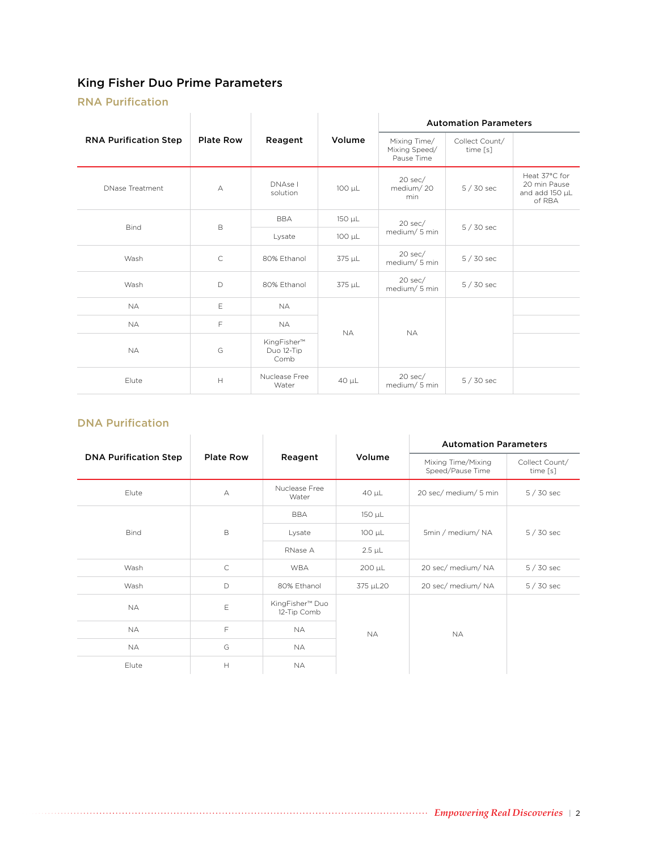# King Fisher Duo Prime Parameters

## RNA Purification

| <b>RNA Purification Step</b> | <b>Plate Row</b>                                                  | Reagent                           | Volume     | <b>Automation Parameters</b>                |                            |                                                           |
|------------------------------|-------------------------------------------------------------------|-----------------------------------|------------|---------------------------------------------|----------------------------|-----------------------------------------------------------|
|                              |                                                                   |                                   |            | Mixing Time/<br>Mixing Speed/<br>Pause Time | Collect Count/<br>time [s] |                                                           |
| <b>DNase Treatment</b>       | А                                                                 | DNAse I<br>solution               | 100 µL     | $20$ sec/<br>medium/20<br>min.              | $5/30$ sec                 | Heat 37°C for<br>20 min Pause<br>and add 150 µL<br>of RBA |
|                              |                                                                   | <b>BBA</b>                        | 150 µL     | $20$ sec/<br>medium/5 min                   | $5/30$ sec                 |                                                           |
| <b>Bind</b>                  | $\mathsf B$                                                       | Lysate                            | 100 µL     |                                             |                            |                                                           |
| Wash                         | $\mathsf{C}$                                                      | 80% Ethanol                       | 375 µL     | $20$ sec/<br>medium/ 5 min                  | $5/30$ sec                 |                                                           |
| Wash                         | D                                                                 | 80% Ethanol                       | 375 µL     | $20$ sec/<br>medium/5 min                   | 5 / 30 sec                 |                                                           |
| <b>NA</b>                    | E                                                                 | <b>NA</b>                         |            | <b>NA</b>                                   |                            |                                                           |
| <b>NA</b>                    | F                                                                 | <b>NA</b>                         |            |                                             |                            |                                                           |
| <b>NA</b>                    | G                                                                 | KingFisher™<br>Duo 12-Tip<br>Comb | <b>NA</b>  |                                             |                            |                                                           |
| Elute                        | $\mathsf{H}% _{\mathsf{H}}^{\ast}=\mathsf{H}_{\mathsf{H}}^{\ast}$ | Nuclease Free<br>Water            | $40 \mu L$ | $20$ sec/<br>medium/5 min                   | $5/30$ sec                 |                                                           |

#### DNA Purification

| ווטוויוניות ו רוש            |                  |                                |             |                                        |                            |  |
|------------------------------|------------------|--------------------------------|-------------|----------------------------------------|----------------------------|--|
|                              |                  |                                | Volume      | <b>Automation Parameters</b>           |                            |  |
| <b>DNA Purification Step</b> | <b>Plate Row</b> | Reagent                        |             | Mixing Time/Mixing<br>Speed/Pause Time | Collect Count/<br>time [s] |  |
| Elute                        | А                | Nuclease Free<br>Water         | $40 \mu L$  | 20 sec/ medium/ 5 min                  | $5/30$ sec                 |  |
|                              |                  | <b>BBA</b>                     | 150 µL      | 5min / medium/NA                       | $5/30$ sec                 |  |
| <b>Bind</b>                  | B                | Lysate                         | $100 \mu L$ |                                        |                            |  |
|                              |                  | RNase A                        | $2.5 \mu L$ |                                        |                            |  |
| Wash                         | $\mathsf C$      | <b>WBA</b>                     | 200 µL      | 20 sec/ medium/ NA                     | $5/30$ sec                 |  |
| Wash                         | D                | 80% Ethanol                    | 375 µL20    | 20 sec/ medium/ NA                     | $5/30$ sec                 |  |
| <b>NA</b>                    | Ε                | KingFisher™ Duo<br>12-Tip Comb |             |                                        |                            |  |
| <b>NA</b>                    | F                | <b>NA</b>                      | <b>NA</b>   | <b>NA</b>                              |                            |  |
| <b>NA</b>                    | G                | <b>NA</b>                      |             |                                        |                            |  |
| Elute                        | H                | <b>NA</b>                      |             |                                        |                            |  |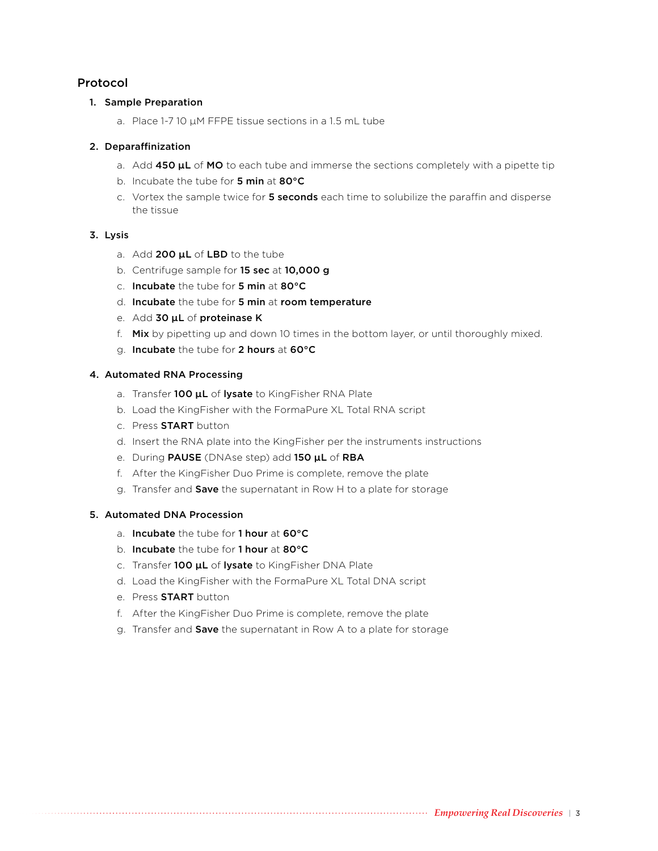## Protocol

#### 1. Sample Preparation

a. Place 1-7 10 µM FFPE tissue sections in a 1.5 mL tube

#### 2. Deparaffinization

- a. Add  $450 \mu L$  of MO to each tube and immerse the sections completely with a pipette tip
- b. Incubate the tube for 5 min at 80°C
- c. Vortex the sample twice for 5 seconds each time to solubilize the paraffin and disperse the tissue

#### 3. Lysis

- a. Add 200  $\mu$ L of LBD to the tube
- b. Centrifuge sample for 15 sec at 10,000 g
- c. Incubate the tube for 5 min at 80°C
- d. Incubate the tube for 5 min at room temperature
- e. Add 30 µL of proteinase K
- f. Mix by pipetting up and down 10 times in the bottom layer, or until thoroughly mixed.
- g. Incubate the tube for 2 hours at 60°C

#### 4. Automated RNA Processing

- a. Transfer 100  $\mu$ L of lysate to KingFisher RNA Plate
- b. Load the KingFisher with the FormaPure XL Total RNA script
- c. Press START button
- d. Insert the RNA plate into the KingFisher per the instruments instructions
- e. During PAUSE (DNAse step) add 150 µL of RBA
- f. After the KingFisher Duo Prime is complete, remove the plate
- g. Transfer and Save the supernatant in Row H to a plate for storage

#### 5. Automated DNA Procession

- a. Incubate the tube for 1 hour at 60°C
- b. Incubate the tube for 1 hour at 80°C
- c. Transfer 100  $\mu$ L of lysate to KingFisher DNA Plate
- d. Load the KingFisher with the FormaPure XL Total DNA script
- e. Press START button
- f. After the KingFisher Duo Prime is complete, remove the plate
- g. Transfer and Save the supernatant in Row A to a plate for storage